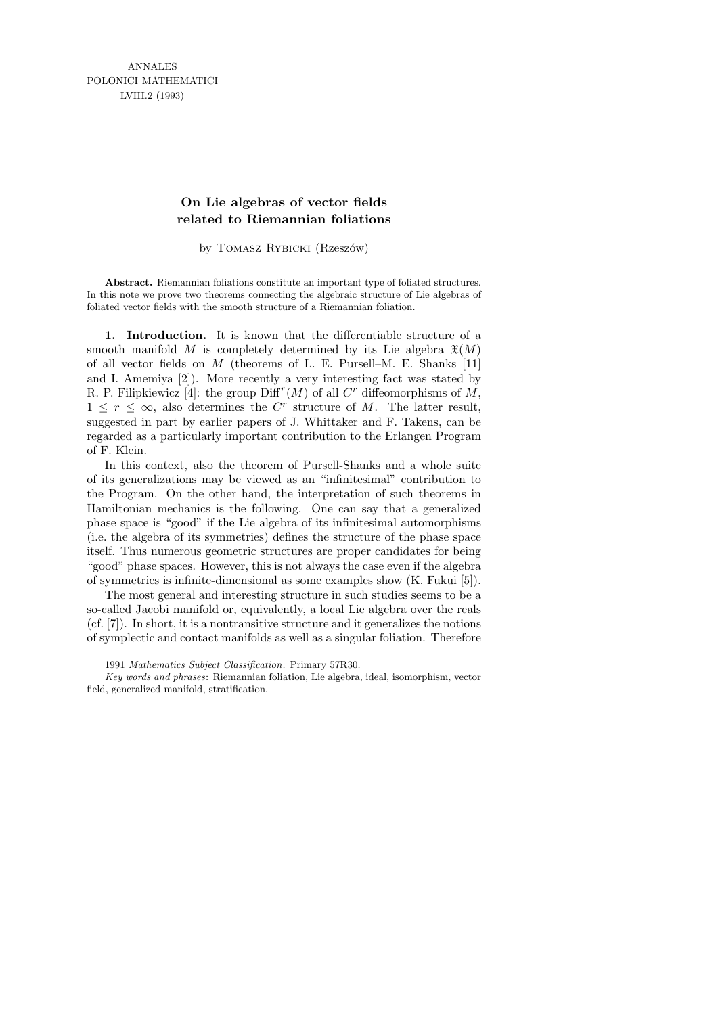ANNALES POLONICI MATHEMATICI LVIII.2 (1993)

## **On Lie algebras of vector fields related to Riemannian foliations**

by TOMASZ RYBICKI (Rzeszów)

**Abstract.** Riemannian foliations constitute an important type of foliated structures. In this note we prove two theorems connecting the algebraic structure of Lie algebras of foliated vector fields with the smooth structure of a Riemannian foliation.

1. Introduction. It is known that the differentiable structure of a smooth manifold M is completely determined by its Lie algebra  $\mathfrak{X}(M)$ of all vector fields on  $M$  (theorems of L. E. Pursell–M. E. Shanks [11] and I. Amemiya [2]). More recently a very interesting fact was stated by R. P. Filipkiewicz [4]: the group  $\text{Diff}^{r}(M)$  of all  $C^{r}$  diffeomorphisms of M,  $1 \leq r \leq \infty$ , also determines the C<sup>r</sup> structure of M. The latter result, suggested in part by earlier papers of J. Whittaker and F. Takens, can be regarded as a particularly important contribution to the Erlangen Program of F. Klein.

In this context, also the theorem of Pursell-Shanks and a whole suite of its generalizations may be viewed as an "infinitesimal" contribution to the Program. On the other hand, the interpretation of such theorems in Hamiltonian mechanics is the following. One can say that a generalized phase space is "good" if the Lie algebra of its infinitesimal automorphisms (i.e. the algebra of its symmetries) defines the structure of the phase space itself. Thus numerous geometric structures are proper candidates for being "good" phase spaces. However, this is not always the case even if the algebra of symmetries is infinite-dimensional as some examples show (K. Fukui [5]).

The most general and interesting structure in such studies seems to be a so-called Jacobi manifold or, equivalently, a local Lie algebra over the reals (cf. [7]). In short, it is a nontransitive structure and it generalizes the notions of symplectic and contact manifolds as well as a singular foliation. Therefore

<sup>1991</sup> *Mathematics Subject Classification*: Primary 57R30.

*Key words and phrases*: Riemannian foliation, Lie algebra, ideal, isomorphism, vector field, generalized manifold, stratification.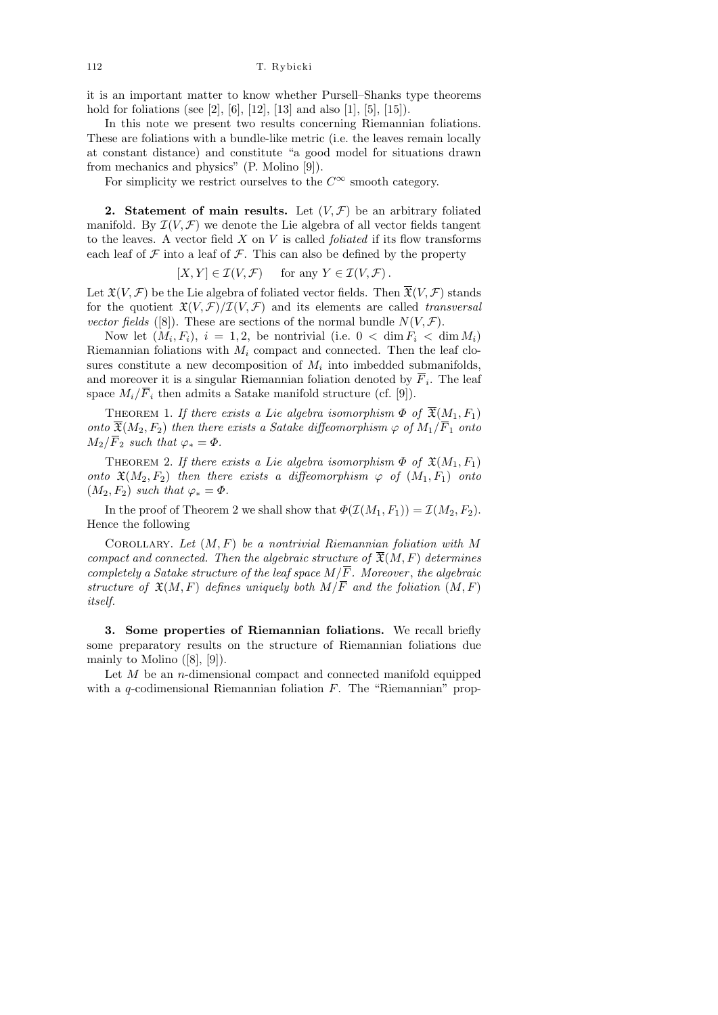it is an important matter to know whether Pursell–Shanks type theorems hold for foliations (see [2], [6], [12], [13] and also [1], [5], [15]).

In this note we present two results concerning Riemannian foliations. These are foliations with a bundle-like metric (i.e. the leaves remain locally at constant distance) and constitute "a good model for situations drawn from mechanics and physics" (P. Molino [9]).

For simplicity we restrict ourselves to the  $C^{\infty}$  smooth category.

2. Statement of main results. Let  $(V, \mathcal{F})$  be an arbitrary foliated manifold. By  $\mathcal{I}(V, \mathcal{F})$  we denote the Lie algebra of all vector fields tangent to the leaves. A vector field  $X$  on  $V$  is called *foliated* if its flow transforms each leaf of  $\mathcal F$  into a leaf of  $\mathcal F$ . This can also be defined by the property

$$
[X, Y] \in \mathcal{I}(V, \mathcal{F}) \quad \text{ for any } Y \in \mathcal{I}(V, \mathcal{F}).
$$

Let  $\mathfrak{X}(V, \mathcal{F})$  be the Lie algebra of foliated vector fields. Then  $\overline{\mathfrak{X}}(V, \mathcal{F})$  stands for the quotient  $\mathfrak{X}(V, \mathcal{F})/\mathcal{I}(V, \mathcal{F})$  and its elements are called transversal vector fields ([8]). These are sections of the normal bundle  $N(V,\mathcal{F})$ .

Now let  $(M_i, F_i)$ ,  $i = 1, 2$ , be nontrivial (i.e.  $0 < \dim F_i < \dim M_i$ ) Riemannian foliations with  $M_i$  compact and connected. Then the leaf closures constitute a new decomposition of  $M_i$  into imbedded submanifolds, and moreover it is a singular Riemannian foliation denoted by  $F_i$ . The leaf space  $M_i/\overline{F}_i$  then admits a Satake manifold structure (cf. [9]).

THEOREM 1. If there exists a Lie algebra isomorphism  $\Phi$  of  $\overline{\mathfrak{X}}(M_1,F_1)$ onto  $\overline{\mathfrak{X}}(M_2, F_2)$  then there exists a Satake diffeomorphism  $\varphi$  of  $M_1/\overline{F}_1$  onto  $M_2/\overline{F}_2$  such that  $\varphi_* = \Phi$ .

THEOREM 2. If there exists a Lie algebra isomorphism  $\Phi$  of  $\mathfrak{X}(M_1, F_1)$ onto  $\mathfrak{X}(M_2, F_2)$  then there exists a diffeomorphism  $\varphi$  of  $(M_1, F_1)$  onto  $(M_2, F_2)$  such that  $\varphi_* = \Phi$ .

In the proof of Theorem 2 we shall show that  $\Phi(\mathcal{I}(M_1, F_1)) = \mathcal{I}(M_2, F_2)$ . Hence the following

COROLLARY. Let  $(M, F)$  be a nontrivial Riemannian foliation with M compact and connected. Then the algebraic structure of  $\mathfrak{F}(M, F)$  determines completely a Satake structure of the leaf space  $M/\overline{F}$ . Moreover, the algebraic structure of  $\mathfrak{X}(M,F)$  defines uniquely both  $M/\overline{F}$  and the foliation  $(M,F)$ itself.

3. Some properties of Riemannian foliations. We recall briefly some preparatory results on the structure of Riemannian foliations due mainly to Molino  $([8], [9])$ .

Let  $M$  be an *n*-dimensional compact and connected manifold equipped with a q-codimensional Riemannian foliation  $F$ . The "Riemannian" prop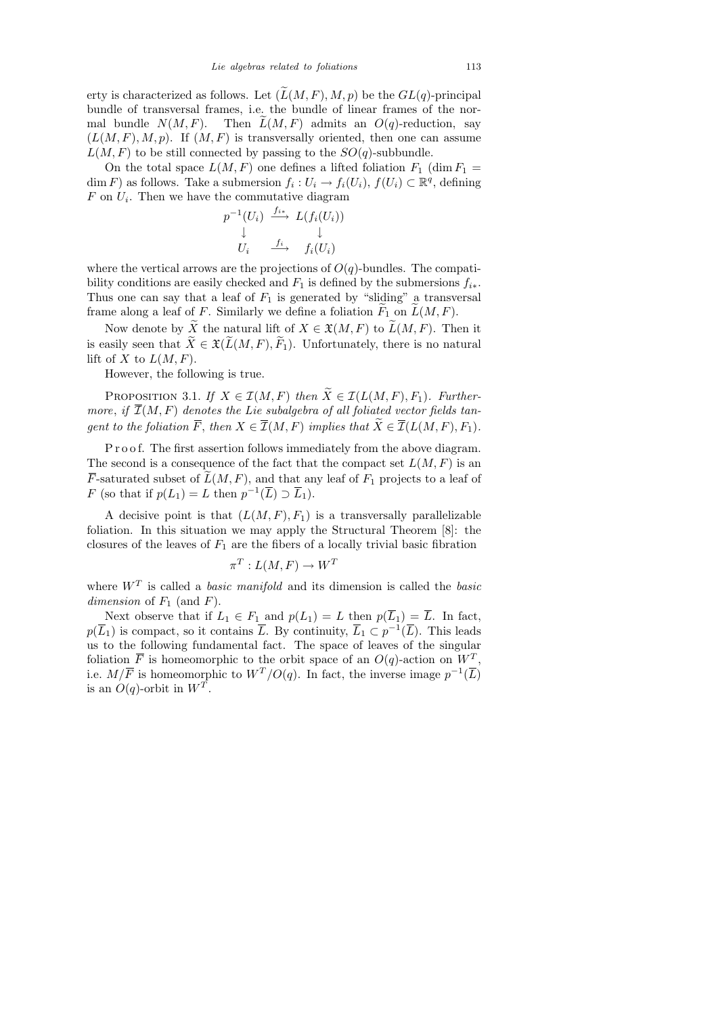erty is characterized as follows. Let  $(\widetilde{L}(M, F), M, p)$  be the  $GL(q)$ -principal bundle of transversal frames, i.e. the bundle of linear frames of the normal bundle  $N(M, F)$ . Then  $L(M, F)$  admits an  $O(q)$ -reduction, say  $(L(M, F), M, p)$ . If  $(M, F)$  is transversally oriented, then one can assume  $L(M, F)$  to be still connected by passing to the  $SO(q)$ -subbundle.

On the total space  $L(M, F)$  one defines a lifted foliation  $F_1$  (dim  $F_1$  = dim F) as follows. Take a submersion  $f_i: U_i \to f_i(U_i)$ ,  $f(U_i) \subset \mathbb{R}^q$ , defining  $F$  on  $U_i$ . Then we have the commutative diagram

$$
p^{-1}(U_i) \xrightarrow{f_{i*}} L(f_i(U_i))
$$
  
\n
$$
\downarrow \qquad \qquad \downarrow
$$
  
\n
$$
U_i \xrightarrow{f_i} f_i(U_i)
$$

where the vertical arrows are the projections of  $O(q)$ -bundles. The compatibility conditions are easily checked and  $F_1$  is defined by the submersions  $f_{i*}$ . Thus one can say that a leaf of  $F_1$  is generated by "sliding" a transversal frame along a leaf of F. Similarly we define a foliation  $\widetilde{F}_1$  on  $\widetilde{L}(M, F)$ .

Now denote by X the natural lift of  $X \in \mathfrak{X}(M, F)$  to  $\mathcal{L}(M, F)$ . Then it is easily seen that  $\widetilde{X} \in \mathfrak{X}(\widetilde{L}(M, F), \widetilde{F}_1)$ . Unfortunately, there is no natural lift of X to  $L(M, F)$ .

However, the following is true.

PROPOSITION 3.1. If  $X \in \mathcal{I}(M, F)$  then  $\widetilde{X} \in \mathcal{I}(L(M, F), F_1)$ . Furthermore, if  $\overline{\mathcal{I}}(M, F)$  denotes the Lie subalgebra of all foliated vector fields tangent to the foliation  $\overline{F}$ , then  $X \in \overline{\mathcal{I}}(M, F)$  implies that  $\widetilde{X} \in \overline{\mathcal{I}}(L(M, F), F_1)$ .

P r o o f. The first assertion follows immediately from the above diagram. The second is a consequence of the fact that the compact set  $L(M, F)$  is an  $\overline{F}$ -saturated subset of  $\overline{L}(M, F)$ , and that any leaf of  $F_1$  projects to a leaf of F (so that if  $p(L_1) = L$  then  $p^{-1}(\overline{L}) \supset \overline{L}_1$ ).

A decisive point is that  $(L(M, F), F_1)$  is a transversally parallelizable foliation. In this situation we may apply the Structural Theorem [8]: the closures of the leaves of  $F_1$  are the fibers of a locally trivial basic fibration

$$
\pi^T: L(M, F) \to W^T
$$

where  $W^T$  is called a *basic manifold* and its dimension is called the *basic* dimension of  $F_1$  (and  $F$ ).

Next observe that if  $L_1 \in F_1$  and  $p(L_1) = L$  then  $p(\overline{L}_1) = \overline{L}$ . In fact,  $p(\overline{L}_1)$  is compact, so it contains  $\overline{L}$ . By continuity,  $\overline{L}_1 \subset p^{-1}(\overline{L})$ . This leads us to the following fundamental fact. The space of leaves of the singular foliation  $\overline{F}$  is homeomorphic to the orbit space of an  $O(q)$ -action on  $W^T$ , i.e.  $M/\overline{F}$  is homeomorphic to  $W^T/O(q)$ . In fact, the inverse image  $p^{-1}(\overline{L})$ is an  $O(q)$ -orbit in  $W<sup>T</sup>$ .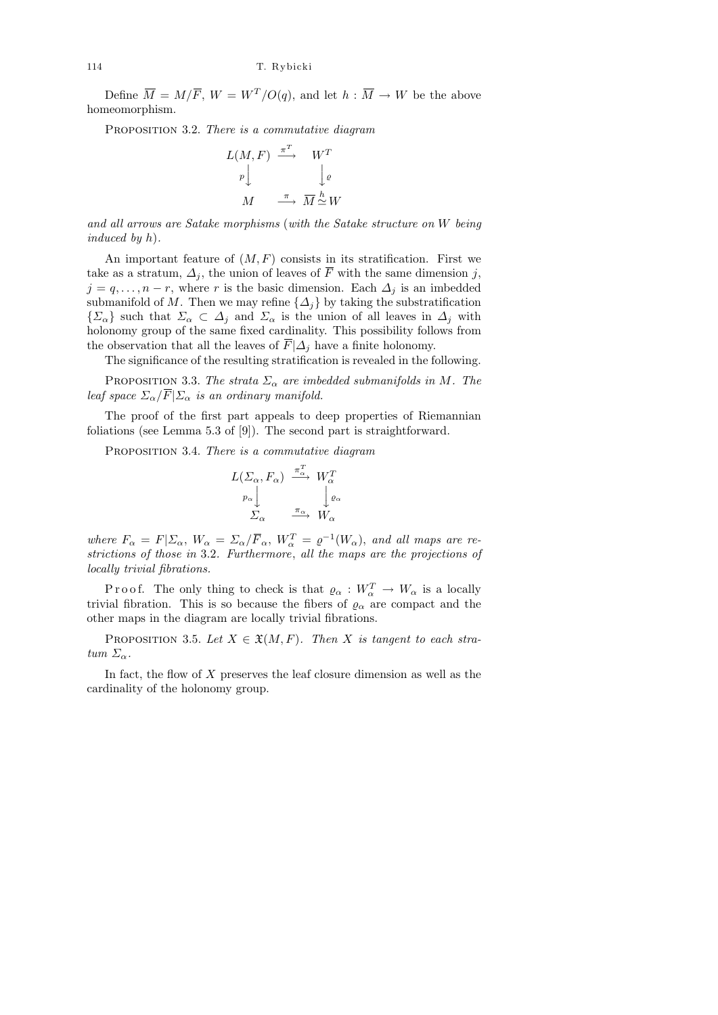Define  $\overline{M} = M/\overline{F}$ ,  $W = W^T/O(q)$ , and let  $h : \overline{M} \to W$  be the above homeomorphism.

PROPOSITION 3.2. There is a commutative diagram

$$
L(M, F) \xrightarrow{\pi^T} W^T
$$
  
\n
$$
\downarrow \rho
$$
  
\n
$$
M \xrightarrow{\pi} \overline{M} \xrightarrow{h} W
$$

and all arrows are Satake morphisms (with the Satake structure on W being induced by h).

An important feature of  $(M, F)$  consists in its stratification. First we take as a stratum,  $\Delta_i$ , the union of leaves of  $\overline{F}$  with the same dimension j,  $j = q, \ldots, n-r$ , where r is the basic dimension. Each  $\Delta_i$  is an imbedded submanifold of M. Then we may refine  $\{\Delta_j\}$  by taking the substratification  $\{\Sigma_{\alpha}\}\$  such that  $\Sigma_{\alpha} \subset \Delta_j$  and  $\Sigma_{\alpha}$  is the union of all leaves in  $\Delta_j$  with holonomy group of the same fixed cardinality. This possibility follows from the observation that all the leaves of  $\overline{F}|\Delta_j$  have a finite holonomy.

The significance of the resulting stratification is revealed in the following.

PROPOSITION 3.3. The strata  $\Sigma_{\alpha}$  are imbedded submanifolds in M. The leaf space  $\Sigma_{\alpha}/\overline{F}|\Sigma_{\alpha}$  is an ordinary manifold.

The proof of the first part appeals to deep properties of Riemannian foliations (see Lemma 5.3 of [9]). The second part is straightforward.

PROPOSITION 3.4. There is a commutative diagram

$$
L(\Sigma_{\alpha}, F_{\alpha}) \xrightarrow{\pi_{\alpha}^T} W_{\alpha}^T
$$

$$
p_{\alpha} \downarrow \qquad \downarrow \varrho_{\alpha}
$$

$$
\Sigma_{\alpha} \xrightarrow{\pi_{\alpha}} W_{\alpha}
$$

where  $F_{\alpha} = F|\Sigma_{\alpha}, W_{\alpha} = \Sigma_{\alpha}/\overline{F}_{\alpha}, W_{\alpha}^{T} = \varrho^{-1}(W_{\alpha}),$  and all maps are restrictions of those in 3.2. Furthermore, all the maps are the projections of locally trivial fibrations.

P r o o f. The only thing to check is that  $\varrho_{\alpha}: W_{\alpha}^T \to W_{\alpha}$  is a locally trivial fibration. This is so because the fibers of  $\varrho_{\alpha}$  are compact and the other maps in the diagram are locally trivial fibrations.

PROPOSITION 3.5. Let  $X \in \mathfrak{X}(M, F)$ . Then X is tangent to each stratum  $\Sigma_{\alpha}$ .

In fact, the flow of  $X$  preserves the leaf closure dimension as well as the cardinality of the holonomy group.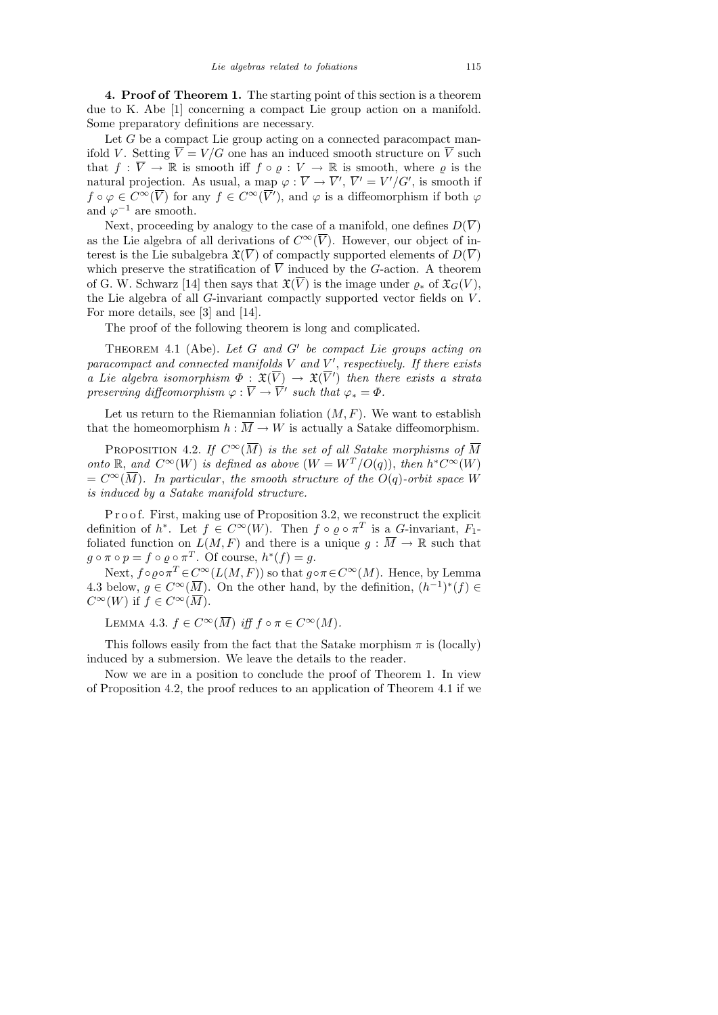4. Proof of Theorem 1. The starting point of this section is a theorem due to K. Abe [1] concerning a compact Lie group action on a manifold. Some preparatory definitions are necessary.

Let  $G$  be a compact Lie group acting on a connected paracompact manifold V. Setting  $\overline{V} = V/G$  one has an induced smooth structure on  $\overline{V}$  such that  $f: \overline{V} \to \mathbb{R}$  is smooth iff  $f \circ \varrho : V \to \mathbb{R}$  is smooth, where  $\varrho$  is the natural projection. As usual, a map  $\varphi : \overline{V} \to \overline{V}'$ ,  $\overline{V}' = V'/G'$ , is smooth if  $f \circ \varphi \in C^{\infty}(\overline{V})$  for any  $f \in C^{\infty}(\overline{V}')$ , and  $\varphi$  is a diffeomorphism if both  $\varphi$ and  $\varphi^{-1}$  are smooth.

Next, proceeding by analogy to the case of a manifold, one defines  $D(\overline{V})$ as the Lie algebra of all derivations of  $C^{\infty}(\overline{V})$ . However, our object of interest is the Lie subalgebra  $\mathfrak{X}(\overline{V})$  of compactly supported elements of  $D(\overline{V})$ which preserve the stratification of  $\overline{V}$  induced by the G-action. A theorem of G. W. Schwarz [14] then says that  $\mathfrak{X}(\overline{V})$  is the image under  $\rho_*$  of  $\mathfrak{X}_G(V)$ , the Lie algebra of all  $G$ -invariant compactly supported vector fields on  $V$ . For more details, see [3] and [14].

The proof of the following theorem is long and complicated.

THEOREM 4.1 (Abe). Let  $G$  and  $G'$  be compact Lie groups acting on  $para compact$  and connected manifolds  $V$  and  $V'$ , respectively. If there exists a Lie algebra isomorphism  $\Phi : \mathfrak{X}(\overline{V}) \to \mathfrak{X}(\overline{V'})$  then there exists a strata preserving diffeomorphism  $\varphi : \overline{V} \to \overline{V}'$  such that  $\varphi_* = \Phi$ .

Let us return to the Riemannian foliation  $(M, F)$ . We want to establish that the homeomorphism  $h : \overline{M} \to W$  is actually a Satake diffeomorphism.

PROPOSITION 4.2. If  $C^{\infty}(\overline{M})$  is the set of all Satake morphisms of  $\overline{M}$ onto R, and  $C^{\infty}(W)$  is defined as above  $(W = W^T/O(q))$ , then  $h^*C^{\infty}(W)$  $= C^{\infty}(\overline{M})$ . In particular, the smooth structure of the O(q)-orbit space W is induced by a Satake manifold structure.

P r o o f. First, making use of Proposition 3.2, we reconstruct the explicit definition of  $h^*$ . Let  $f \in C^{\infty}(W)$ . Then  $f \circ \varrho \circ \pi^T$  is a G-invariant,  $F_1$ foliated function on  $L(M, F)$  and there is a unique  $g : \overline{M} \to \mathbb{R}$  such that  $g \circ \pi \circ p = f \circ \varrho \circ \pi^T$ . Of course,  $h^*(f) = g$ .

Next,  $f \circ \varrho \circ \pi^T \in C^\infty(L(M,F))$  so that  $g \circ \pi \in C^\infty(M)$ . Hence, by Lemma 4.3 below,  $g \in C^{\infty}(\overline{M})$ . On the other hand, by the definition,  $(h^{-1})^*(f) \in$  $C^{\infty}(W)$  if  $f \in C^{\infty}(\overline{M})$ .

LEMMA 4.3.  $f \in C^{\infty}(\overline{M})$  iff  $f \circ \pi \in C^{\infty}(M)$ .

This follows easily from the fact that the Satake morphism  $\pi$  is (locally) induced by a submersion. We leave the details to the reader.

Now we are in a position to conclude the proof of Theorem 1. In view of Proposition 4.2, the proof reduces to an application of Theorem 4.1 if we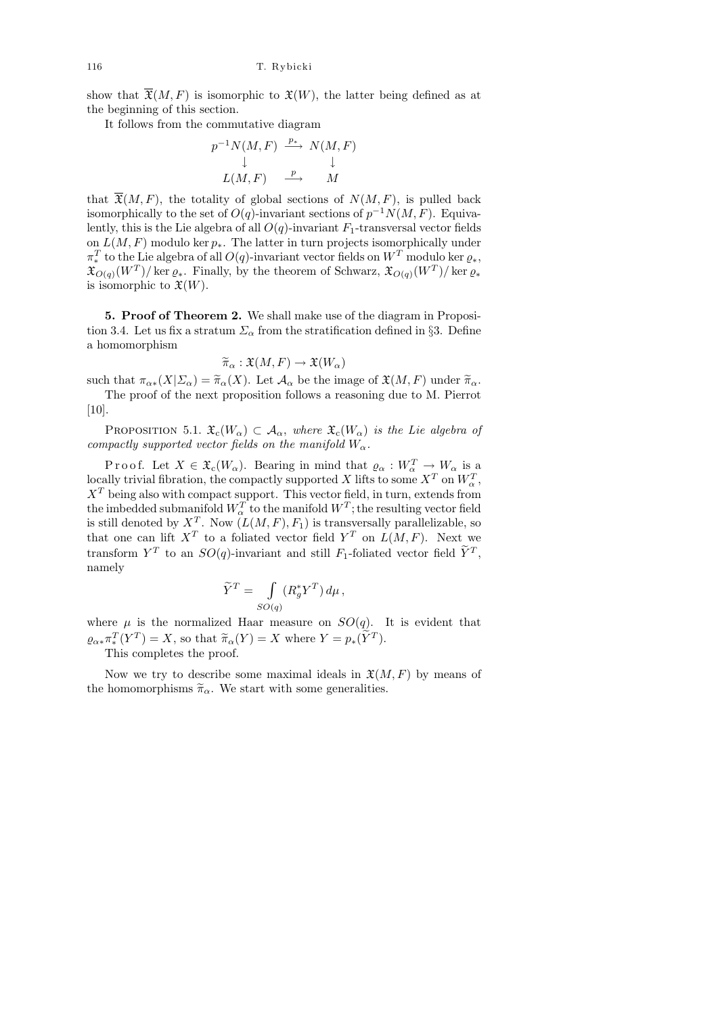show that  $\overline{\mathfrak{X}}(M,F)$  is isomorphic to  $\mathfrak{X}(W)$ , the latter being defined as at the beginning of this section.

It follows from the commutative diagram

$$
p^{-1}N(M, F) \xrightarrow{p_*} N(M, F)
$$
  
\n
$$
\downarrow \qquad \qquad \downarrow
$$
  
\n
$$
L(M, F) \xrightarrow{p} M
$$

that  $\overline{\mathfrak{X}}(M,F)$ , the totality of global sections of  $N(M, F)$ , is pulled back isomorphically to the set of  $O(q)$ -invariant sections of  $p^{-1}N(M, F)$ . Equivalently, this is the Lie algebra of all  $O(q)$ -invariant  $F_1$ -transversal vector fields on  $L(M, F)$  modulo ker  $p_{\ast}$ . The latter in turn projects isomorphically under  $\pi^T_*$  to the Lie algebra of all  $O(q)$ -invariant vector fields on  $W^T$  modulo ker  $\varrho_*,$  $\mathfrak{X}_{O(q)}(W^T)/\ker \varrho_*$ . Finally, by the theorem of Schwarz,  $\mathfrak{X}_{O(q)}(W^T)/\ker \varrho_*$ is isomorphic to  $\mathfrak{X}(W)$ .

5. Proof of Theorem 2. We shall make use of the diagram in Proposition 3.4. Let us fix a stratum  $\Sigma_{\alpha}$  from the stratification defined in §3. Define a homomorphism

$$
\widetilde{\pi}_{\alpha} : \mathfrak{X}(M,F) \to \mathfrak{X}(W_{\alpha})
$$

such that  $\pi_{\alpha*}(X|\Sigma_{\alpha}) = \widetilde{\pi}_{\alpha}(X)$ . Let  $\mathcal{A}_{\alpha}$  be the image of  $\mathfrak{X}(M,F)$  under  $\widetilde{\pi}_{\alpha}$ .<br>The proof of the part proposition follows a reasoning due to M. Pierrot

The proof of the next proposition follows a reasoning due to M. Pierrot [10].

PROPOSITION 5.1.  $\mathfrak{X}_{\mathfrak{c}}(W_{\alpha}) \subset \mathcal{A}_{\alpha}$ , where  $\mathfrak{X}_{\mathfrak{c}}(W_{\alpha})$  is the Lie algebra of compactly supported vector fields on the manifold  $W_{\alpha}$ .

Proof. Let  $X \in \mathfrak{X}_{\mathfrak{c}}(W_\alpha)$ . Bearing in mind that  $\varrho_\alpha: W_\alpha^T \to W_\alpha$  is a locally trivial fibration, the compactly supported X lifts to some  $X^T$  on  $W^T_{\alpha}$ ,  $X<sup>T</sup>$  being also with compact support. This vector field, in turn, extends from the imbedded submanifold  $W_\alpha^T$  to the manifold  $W^T;$  the resulting vector field is still denoted by  $X^T$ . Now  $(L(M, F), F_1)$  is transversally parallelizable, so that one can lift  $X^T$  to a foliated vector field  $Y^T$  on  $L(M, F)$ . Next we transform  $Y^T$  to an  $SO(q)$ -invariant and still  $F_1$ -foliated vector field  $\tilde{Y}^T$ , namely

$$
\widetilde{Y}^T = \int \limits_{SO(q)} (R_g^* Y^T) \, d\mu \,,
$$

where  $\mu$  is the normalized Haar measure on  $SO(q)$ . It is evident that  $\varrho_{\alpha * \pi_X^T}(Y^T) = X$ , so that  $\widetilde{\pi}_{\alpha}(Y) = X$  where  $Y = p_*(Y^T)$ .

This completes the proof.

Now we try to describe some maximal ideals in  $\mathfrak{X}(M, F)$  by means of the homomorphisms  $\tilde{\pi}_{\alpha}$ . We start with some generalities.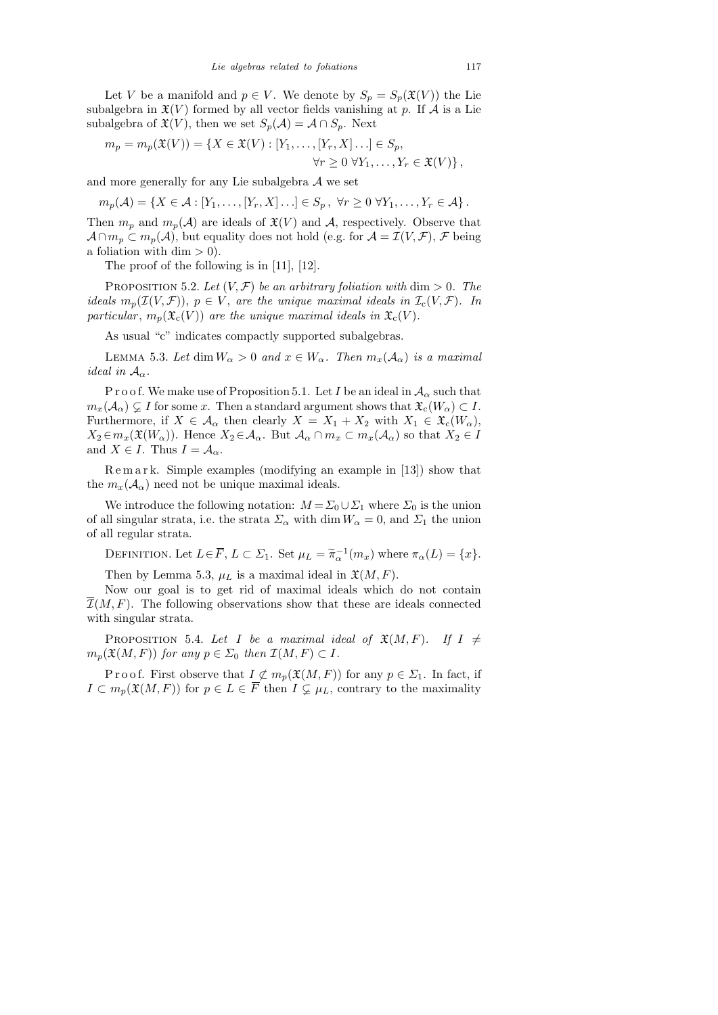Let V be a manifold and  $p \in V$ . We denote by  $S_p = S_p(\mathfrak{X}(V))$  the Lie subalgebra in  $\mathfrak{X}(V)$  formed by all vector fields vanishing at p. If A is a Lie subalgebra of  $\mathfrak{X}(V)$ , then we set  $S_p(\mathcal{A}) = \mathcal{A} \cap S_p$ . Next

$$
m_p = m_p(\mathfrak{X}(V)) = \{ X \in \mathfrak{X}(V) : [Y_1, \ldots, [Y_r, X] \ldots] \in S_p, \forall r \ge 0 \ \forall Y_1, \ldots, Y_r \in \mathfrak{X}(V) \},
$$

and more generally for any Lie subalgebra  $A$  we set

$$
m_p(\mathcal{A}) = \{ X \in \mathcal{A} : [Y_1, \ldots, [Y_r, X] \ldots] \in S_p, \ \forall r \ge 0 \ \forall Y_1, \ldots, Y_r \in \mathcal{A} \}.
$$

Then  $m_p$  and  $m_p(\mathcal{A})$  are ideals of  $\mathfrak{X}(V)$  and  $\mathcal{A}$ , respectively. Observe that  $\mathcal{A} \cap m_p \subset m_p(\mathcal{A}),$  but equality does not hold (e.g. for  $\mathcal{A} = \mathcal{I}(V, \mathcal{F}),$   $\mathcal{F}$  being a foliation with dim  $> 0$ ).

The proof of the following is in [11], [12].

PROPOSITION 5.2. Let  $(V, \mathcal{F})$  be an arbitrary foliation with dim  $> 0$ . The ideals  $m_p(\mathcal{I}(V, \mathcal{F}))$ ,  $p \in V$ , are the unique maximal ideals in  $\mathcal{I}_c(V, \mathcal{F})$ . In particular,  $m_p(\mathfrak{X}_c(V))$  are the unique maximal ideals in  $\mathfrak{X}_c(V)$ .

As usual "c" indicates compactly supported subalgebras.

LEMMA 5.3. Let dim  $W_{\alpha} > 0$  and  $x \in W_{\alpha}$ . Then  $m_x(\mathcal{A}_{\alpha})$  is a maximal ideal in  $A_{\alpha}$ .

P r o o f. We make use of Proposition 5.1. Let I be an ideal in  $A_{\alpha}$  such that  $m_x(\mathcal{A}_\alpha) \subsetneq I$  for some x. Then a standard argument shows that  $\mathfrak{X}_c(W_\alpha) \subset I$ . Furthermore, if  $X \in \mathcal{A}_{\alpha}$  then clearly  $X = X_1 + X_2$  with  $X_1 \in \mathfrak{X}_{\alpha}(W_{\alpha}),$  $X_2 \in m_x(\mathfrak{X}(W_\alpha))$ . Hence  $X_2 \in \mathcal{A}_\alpha$ . But  $\mathcal{A}_\alpha \cap m_x \subset m_x(\mathcal{A}_\alpha)$  so that  $X_2 \in I$ and  $X \in I$ . Thus  $I = \mathcal{A}_{\alpha}$ .

R e m a r k. Simple examples (modifying an example in [13]) show that the  $m_x(\mathcal{A}_\alpha)$  need not be unique maximal ideals.

We introduce the following notation:  $M = \Sigma_0 \cup \Sigma_1$  where  $\Sigma_0$  is the union of all singular strata, i.e. the strata  $\Sigma_\alpha$  with  $\dim W_\alpha = 0$ , and  $\Sigma_1$  the union of all regular strata.

DEFINITION. Let  $L \in \overline{F}$ ,  $L \subset \Sigma_1$ . Set  $\mu_L = \tilde{\pi}_{\alpha}^{-1}(m_x)$  where  $\pi_{\alpha}(L) = \{x\}$ .

Then by Lemma 5.3,  $\mu_L$  is a maximal ideal in  $\mathfrak{X}(M,F)$ .

Now our goal is to get rid of maximal ideals which do not contain  $\overline{\mathcal{I}}(M, F)$ . The following observations show that these are ideals connected with singular strata.

PROPOSITION 5.4. Let I be a maximal ideal of  $\mathfrak{X}(M,F)$ . If  $I \neq$  $m_p(\mathfrak{X}(M,F))$  for any  $p \in \Sigma_0$  then  $\mathcal{I}(M,F) \subset I$ .

P r o o f. First observe that  $I \not\subset m_p(\mathfrak{X}(M, F))$  for any  $p \in \Sigma_1$ . In fact, if  $I \subset m_p(\mathfrak{X}(M,F))$  for  $p \in L \in \overline{F}$  then  $I \subsetneq \mu_L$ , contrary to the maximality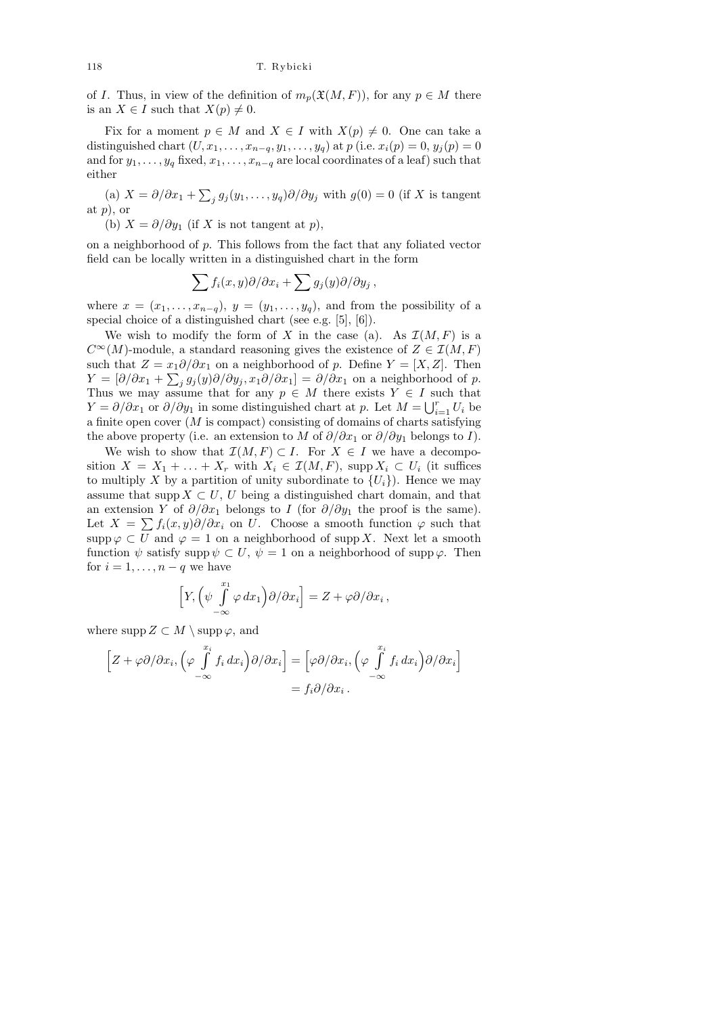of I. Thus, in view of the definition of  $m_p(\mathfrak{X}(M, F))$ , for any  $p \in M$  there is an  $X \in I$  such that  $X(p) \neq 0$ .

Fix for a moment  $p \in M$  and  $X \in I$  with  $X(p) \neq 0$ . One can take a distinguished chart  $(U, x_1, ..., x_{n-q}, y_1, ..., y_q)$  at p (i.e.  $x_i(p) = 0, y_j(p) = 0$ and for  $y_1, \ldots, y_q$  fixed,  $x_1, \ldots, x_{n-q}$  are local coordinates of a leaf) such that either

(a)  $X = \partial/\partial x_1 + \sum_j g_j(y_1, \ldots, y_q) \partial/\partial y_j$  with  $g(0) = 0$  (if X is tangent at  $p$ , or

(b)  $X = \partial/\partial y_1$  (if X is not tangent at p),

on a neighborhood of  $p$ . This follows from the fact that any foliated vector field can be locally written in a distinguished chart in the form

$$
\sum f_i(x,y)\partial/\partial x_i + \sum g_j(y)\partial/\partial y_j,
$$

where  $x = (x_1, \ldots, x_{n-q}), y = (y_1, \ldots, y_q)$ , and from the possibility of a special choice of a distinguished chart (see e.g. [5], [6]).

We wish to modify the form of X in the case (a). As  $\mathcal{I}(M, F)$  is a  $C^{\infty}(M)$ -module, a standard reasoning gives the existence of  $Z \in \mathcal{I}(M, F)$ such that  $Z = x_1 \partial/\partial x_1$  on a neighborhood of p. Define  $Y = [X, Z]$ . Then  $Y = [\partial/\partial x_1 + \sum_j g_j(y)\partial/\partial y_j, x_1\partial/\partial x_1] = \partial/\partial x_1$  on a neighborhood of p. Thus we may assume that for any  $p \in M$  there exists  $Y \in I$  such that  $Y = \partial/\partial x_1$  or  $\partial/\partial y_1$  in some distinguished chart at p. Let  $M = \bigcup_{i=1}^r U_i$  be a finite open cover  $(M \text{ is compact})$  consisting of domains of charts satisfying the above property (i.e. an extension to M of  $\partial/\partial x_1$  or  $\partial/\partial y_1$  belongs to I).

We wish to show that  $\mathcal{I}(M, F) \subset I$ . For  $X \in I$  we have a decomposition  $X = X_1 + \ldots + X_r$  with  $X_i \in \mathcal{I}(M, F)$ , supp  $X_i \subset U_i$  (it suffices to multiply X by a partition of unity subordinate to  $\{U_i\}$ ). Hence we may assume that supp  $X \subset U$ , U being a distinguished chart domain, and that an extension Y of  $\partial/\partial x_1$  belongs to I (for  $\partial/\partial y_1$  the proof is the same). Let  $X = \sum f_i(x, y)\partial/\partial x_i$  on U. Choose a smooth function  $\varphi$  such that  $\mathrm{supp}\,\varphi\subset U$  and  $\varphi=1$  on a neighborhood of  $\mathrm{supp}\,X$ . Next let a smooth function  $\psi$  satisfy supp  $\psi \subset U$ ,  $\psi = 1$  on a neighborhood of supp  $\varphi$ . Then for  $i = 1, \ldots, n - q$  we have

$$
\left[Y,\left(\psi\int\limits_{-\infty}^{x_1}\varphi\,dx_1\right)\partial/\partial x_i\right]=Z+\varphi\partial/\partial x_i\,,
$$

where supp  $Z \subset M \setminus \text{supp }\varphi$ , and

$$
\[Z + \varphi \partial/\partial x_i, \left(\varphi \int \limits_{-\infty}^{x_i} f_i dx_i\right) \partial/\partial x_i\] = \left[\varphi \partial/\partial x_i, \left(\varphi \int \limits_{-\infty}^{x_i} f_i dx_i\right) \partial/\partial x_i\right] = f_i \partial/\partial x_i.
$$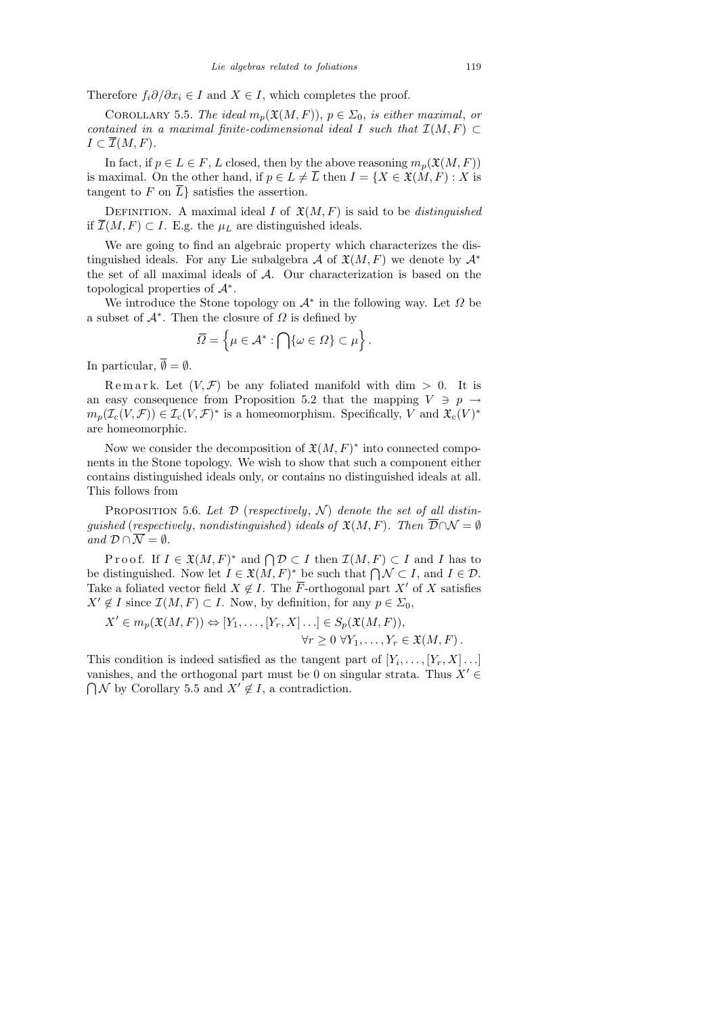Therefore  $f_i \partial/\partial x_i \in I$  and  $X \in I$ , which completes the proof.

COROLLARY 5.5. The ideal  $m_p(\mathfrak{X}(M, F))$ ,  $p \in \Sigma_0$ , is either maximal, or contained in a maximal finite-codimensional ideal I such that  $\mathcal{I}(M, F) \subset$  $I \subset \overline{\mathcal{I}}(M,F)$ .

In fact, if  $p \in L \in F$ , L closed, then by the above reasoning  $m_p(\mathfrak{X}(M, F))$ is maximal. On the other hand, if  $p \in L \neq \overline{L}$  then  $I = \{X \in \mathfrak{X}(M, F) : X \text{ is }$ tangent to F on  $\overline{L}$  satisfies the assertion.

DEFINITION. A maximal ideal I of  $\mathfrak{X}(M,F)$  is said to be *distinguished* if  $\overline{\mathcal{I}}(M, F)$  ⊂ I. E.g. the  $\mu$ <sub>L</sub> are distinguished ideals.

We are going to find an algebraic property which characterizes the distinguished ideals. For any Lie subalgebra A of  $\mathfrak{X}(M,F)$  we denote by  $\mathcal{A}^*$ the set of all maximal ideals of A. Our characterization is based on the topological properties of  $\mathcal{A}^*$ .

We introduce the Stone topology on  $\mathcal{A}^*$  in the following way. Let  $\Omega$  be a subset of  $\mathcal{A}^*$ . Then the closure of  $\Omega$  is defined by

$$
\overline{\Omega} = \left\{ \mu \in \mathcal{A}^* : \bigcap \{ \omega \in \Omega \} \subset \mu \right\}.
$$

In particular,  $\overline{\emptyset} = \emptyset$ .

Remark. Let  $(V, \mathcal{F})$  be any foliated manifold with dim  $> 0$ . It is an easy consequence from Proposition 5.2 that the mapping  $V \ni p \rightarrow$  $m_p(\mathcal{I}_c(V,\mathcal{F})) \in \mathcal{I}_c(V,\mathcal{F})^*$  is a homeomorphism. Specifically, V and  $\mathfrak{X}_c(V)^*$ are homeomorphic.

Now we consider the decomposition of  $\mathfrak{X}(M,F)^*$  into connected components in the Stone topology. We wish to show that such a component either contains distinguished ideals only, or contains no distinguished ideals at all. This follows from

PROPOSITION 5.6. Let  $\mathcal D$  (respectively,  $\mathcal N$ ) denote the set of all distinquished (respectively, nondistinguished) ideals of  $\mathfrak{X}(M,F)$ . Then  $\overline{\mathcal{D}} \cap \mathcal{N} = \emptyset$ and  $\mathcal{D} \cap \overline{\mathcal{N}} = \emptyset$ .

Proof. If  $I \in \mathfrak{X}(M,F)^*$  and  $\bigcap \mathcal{D} \subset I$  then  $\mathcal{I}(M,F) \subset I$  and I has to be distinguished. Now let  $I \in \mathfrak{X}(M, F)^*$  be such that  $\bigcap \mathcal{N} \subset I$ , and  $I \in \mathcal{D}$ . Take a foliated vector field  $X \notin I$ . The  $\overline{F}$ -orthogonal part  $X'$  of X satisfies  $X' \notin I$  since  $\mathcal{I}(M, F) \subset I$ . Now, by definition, for any  $p \in \Sigma_0$ ,

$$
X' \in m_p(\mathfrak{X}(M,F)) \Leftrightarrow [Y_1,\ldots,[Y_r,X]\ldots] \in S_p(\mathfrak{X}(M,F)),
$$
  

$$
\forall r \geq 0 \ \forall Y_1,\ldots,Y_r \in \mathfrak{X}(M,F).
$$

This condition is indeed satisfied as the tangent part of  $[Y_i, \ldots, [Y_r, X] \ldots]$ vanishes, and the orthogonal part must be 0 on singular strata. Thus  $X' \in$  $\bigcap \mathcal{N}$  by Corollary 5.5 and  $X' \notin I$ , a contradiction.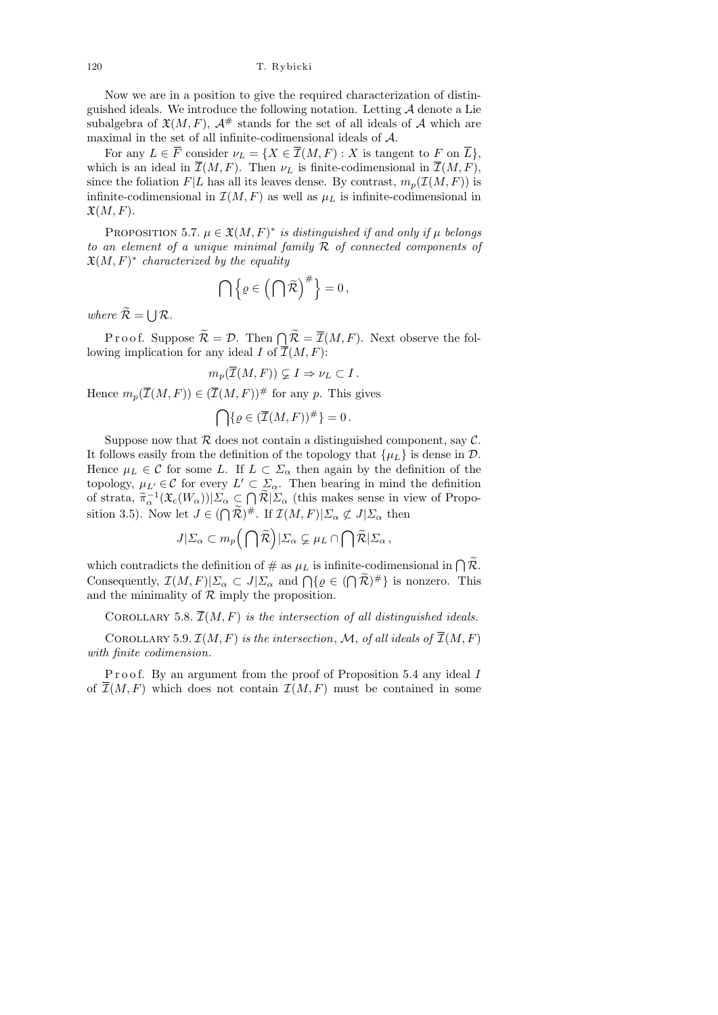Now we are in a position to give the required characterization of distinguished ideals. We introduce the following notation. Letting  $A$  denote a Lie subalgebra of  $\mathfrak{X}(M, F)$ ,  $\mathcal{A}^{\#}$  stands for the set of all ideals of A which are maximal in the set of all infinite-codimensional ideals of  $\mathcal{A}.$ 

For any  $L \in \overline{F}$  consider  $\nu_L = \{X \in \overline{\mathcal{I}}(M,F) : X \text{ is tangent to } F \text{ on } \overline{L}\},\$ which is an ideal in  $\overline{\mathcal{I}}(M, F)$ . Then  $\nu_L$  is finite-codimensional in  $\overline{\mathcal{I}}(M, F)$ , since the foliation  $F|L$  has all its leaves dense. By contrast,  $m_p(\mathcal{I}(M, F))$  is infinite-codimensional in  $\mathcal{I}(M, F)$  as well as  $\mu_L$  is infinite-codimensional in  $\mathfrak{X}(M,F)$ .

PROPOSITION 5.7.  $\mu \in \mathfrak{X}(M,F)^*$  is distinguished if and only if  $\mu$  belongs to an element of a unique minimal family  $R$  of connected components of  $\mathfrak{X}(M,F)^*$  characterized by the equality

$$
\bigcap \left\{ \varrho \in \left( \bigcap \widetilde{\mathcal{R}} \right)^{\#} \right\} = 0,
$$

where  $\mathcal{R} = \bigcup \mathcal{R}$ .

Proof. Suppose  $\mathcal{R} = \mathcal{D}$ . Then  $\bigcap_{\mathcal{R}} \mathcal{R} = \overline{\mathcal{I}}(M, F)$ . Next observe the following implication for any ideal I of  $\overline{\mathcal{I}}(M,F)$ :

$$
m_p(\overline{\mathcal{I}}(M,F)) \subsetneq I \Rightarrow \nu_L \subset I.
$$

Hence  $m_p(\overline{\mathcal{I}}(M, F)) \in (\overline{\mathcal{I}}(M, F))^{\#}$  for any p. This gives

$$
\bigcap \{ \varrho \in (\overline{\mathcal{I}}(M,F))^{\#} \} = 0 \, .
$$

Suppose now that  $R$  does not contain a distinguished component, say  $C$ . It follows easily from the definition of the topology that  $\{\mu_L\}$  is dense in  $\mathcal{D}$ . Hence  $\mu_L \in \mathcal{C}$  for some L. If  $L \subset \Sigma_\alpha$  then again by the definition of the topology,  $\mu_{L'} \in \mathcal{C}$  for every  $L' \subset \Sigma_{\alpha}$ . Then bearing in mind the definition of strata,  $\tilde{\pi}_{\alpha}^{-1}(\mathfrak{X}_{c}(W_{\alpha}))|\Sigma_{\alpha} \subset \bigcap_{\alpha} \tilde{\mathcal{R}}|\Sigma_{\alpha}$  (this makes sense in view of Proposition 3.5). Now let  $J \in (\bigcap \mathcal{R})^{\#}$ . If  $\mathcal{I}(M,F)|\Sigma_{\alpha} \not\subset J|\Sigma_{\alpha}$  then

$$
J|\Sigma_{\alpha} \subset m_p\bigg(\bigcap \widetilde{\mathcal{R}}\bigg)|\Sigma_{\alpha} \subsetneq \mu_L \cap \bigcap \widetilde{\mathcal{R}}|\Sigma_{\alpha},
$$

which contradicts the definition of  $\#$  as  $\mu_L$  is infinite-codimensional in  $\bigcap \mathcal{R}$ . Consequently,  $\mathcal{I}(M, F)|\Sigma_{\alpha} \subset J|\Sigma_{\alpha}$  and  $\bigcap \{\varrho \in (\bigcap \mathcal{R})^{\#}\}\$  is nonzero. This and the minimality of  $R$  imply the proposition.

COROLLARY 5.8.  $\overline{\mathcal{I}}(M, F)$  is the intersection of all distinguished ideals.

COROLLARY 5.9.  $\mathcal{I}(M, F)$  is the intersection, M, of all ideals of  $\overline{\mathcal{I}}(M, F)$ with finite codimension.

Proof. By an argument from the proof of Proposition 5.4 any ideal I of  $\mathcal{I}(M, F)$  which does not contain  $\mathcal{I}(M, F)$  must be contained in some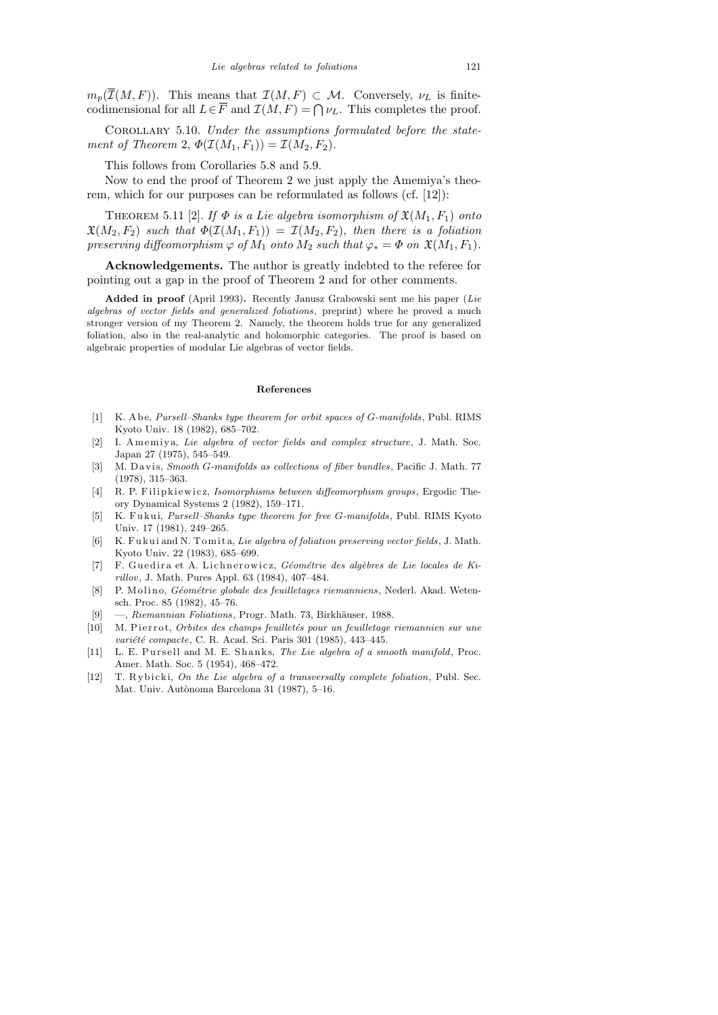$m_p(\overline{\mathcal{I}}(M, F))$ . This means that  $\mathcal{I}(M, F) \subset \mathcal{M}$ . Conversely,  $\nu_L$  is finitecodimensional for all  $L \in \overline{F}$  and  $\mathcal{I}(M, F) = \bigcap \nu_L$ . This completes the proof.

Corollary 5.10. Under the assumptions formulated before the statement of Theorem 2,  $\Phi(\mathcal{I}(M_1, F_1)) = \mathcal{I}(M_2, F_2)$ .

This follows from Corollaries 5.8 and 5.9.

Now to end the proof of Theorem 2 we just apply the Amemiya's theorem, which for our purposes can be reformulated as follows (cf. [12]):

THEOREM 5.11 [2]. If  $\Phi$  is a Lie algebra isomorphism of  $\mathfrak{X}(M_1, F_1)$  onto  $\mathfrak{X}(M_2, F_2)$  such that  $\Phi(\mathcal{I}(M_1, F_1)) = \mathcal{I}(M_2, F_2)$ , then there is a foliation preserving diffeomorphism  $\varphi$  of  $M_1$  onto  $M_2$  such that  $\varphi_* = \Phi$  on  $\mathfrak{X}(M_1, F_1)$ .

Acknowledgements. The author is greatly indebted to the referee for pointing out a gap in the proof of Theorem 2 and for other comments.

**Added in proof** (April 1993)**.** Recently Janusz Grabowski sent me his paper (*Lie algebras of vector fields and generalized foliations*, preprint) where he proved a much stronger version of my Theorem 2. Namely, the theorem holds true for any generalized foliation, also in the real-analytic and holomorphic categories. The proof is based on algebraic properties of modular Lie algebras of vector fields.

## **References**

- [1] K. A b e, *Pursell–Shanks type theorem for orbit spaces of G-manifolds*, Publ. RIMS Kyoto Univ. 18 (1982), 685–702.
- [2] I. Amemiya, *Lie algebra of vector fields and complex structure*, J. Math. Soc. Japan 27 (1975), 545–549.
- [3] M. D a vi s, *Smooth G-manifolds as collections of fiber bundles*, Pacific J. Math. 77 (1978), 315–363.
- [4] R. P. Filipkiewicz, *Isomorphisms between diffeomorphism groups*, Ergodic Theory Dynamical Systems 2 (1982), 159–171.
- [5] K. F u k ui, *Pursell–Shanks type theorem for free G-manifolds*, Publ. RIMS Kyoto Univ. 17 (1981), 249–265.
- [6] K. F u k ui and N. T omi t a, *Lie algebra of foliation preserving vector fields*, J. Math. Kyoto Univ. 22 (1983), 685–699.
- [7] F. Guedira et A. Lichnerowicz, *Géométrie des algèbres de Lie locales de Kirillov*, J. Math. Pures Appl. 63 (1984), 407–484.
- [8] P. Molino, *Géométrie globale des feuilletages riemanniens*, Nederl. Akad. Wetensch. Proc. 85 (1982), 45–76.
- [9] —, *Riemannian Foliations*, Progr. Math. 73, Birkhäuser, 1988.
- [10] M. Pierrot, *Orbites des champs feuilletés pour un feuilletage riemannien sur une variété compacte*, C. R. Acad. Sci. Paris 301 (1985), 443-445.
- [11] L. E. Pursell and M. E. Shanks, *The Lie algebra of a smooth manifold*, Proc. Amer. Math. Soc. 5 (1954), 468–472.
- [12] T. Rybicki, *On the Lie algebra of a transversally complete foliation*, Publ. Sec. Mat. Univ. Autònoma Barcelona 31 (1987), 5-16.